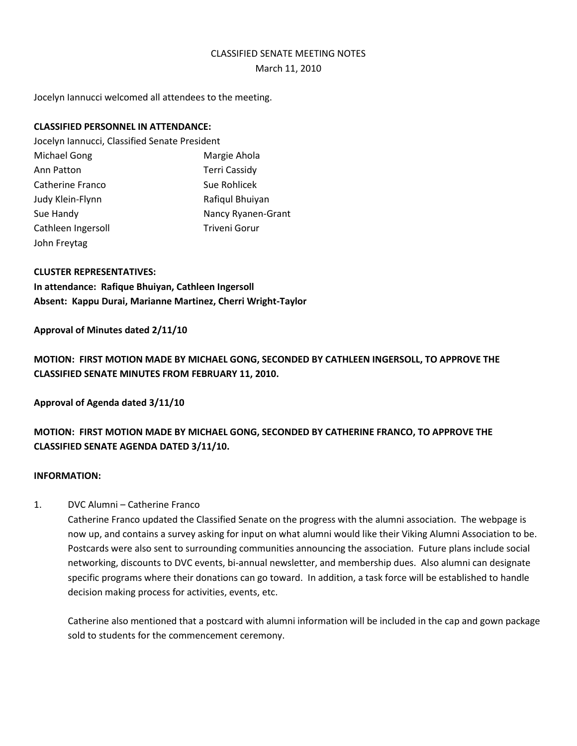### CLASSIFIED SENATE MEETING NOTES

#### March 11, 2010

Jocelyn Iannucci welcomed all attendees to the meeting.

### **CLASSIFIED PERSONNEL IN ATTENDANCE:**

Jocelyn Iannucci, Classified Senate President Michael Gong **Margie Ahola** Ann Patton **Terri Cassidy** Catherine Franco Sue Rohlicek Judy Klein-Flynn **Rafiqul Bhuiyan** Sue Handy Nancy Ryanen-Grant Cathleen Ingersoll **Triveni Gorur** Triveni Gorur John Freytag

## **CLUSTER REPRESENTATIVES:**

**In attendance: Rafique Bhuiyan, Cathleen Ingersoll Absent: Kappu Durai, Marianne Martinez, Cherri Wright-Taylor**

### **Approval of Minutes dated 2/11/10**

**MOTION: FIRST MOTION MADE BY MICHAEL GONG, SECONDED BY CATHLEEN INGERSOLL, TO APPROVE THE CLASSIFIED SENATE MINUTES FROM FEBRUARY 11, 2010.** 

**Approval of Agenda dated 3/11/10**

# **MOTION: FIRST MOTION MADE BY MICHAEL GONG, SECONDED BY CATHERINE FRANCO, TO APPROVE THE CLASSIFIED SENATE AGENDA DATED 3/11/10.**

### **INFORMATION:**

### 1. DVC Alumni – Catherine Franco

Catherine Franco updated the Classified Senate on the progress with the alumni association. The webpage is now up, and contains a survey asking for input on what alumni would like their Viking Alumni Association to be. Postcards were also sent to surrounding communities announcing the association. Future plans include social networking, discounts to DVC events, bi-annual newsletter, and membership dues. Also alumni can designate specific programs where their donations can go toward. In addition, a task force will be established to handle decision making process for activities, events, etc.

Catherine also mentioned that a postcard with alumni information will be included in the cap and gown package sold to students for the commencement ceremony.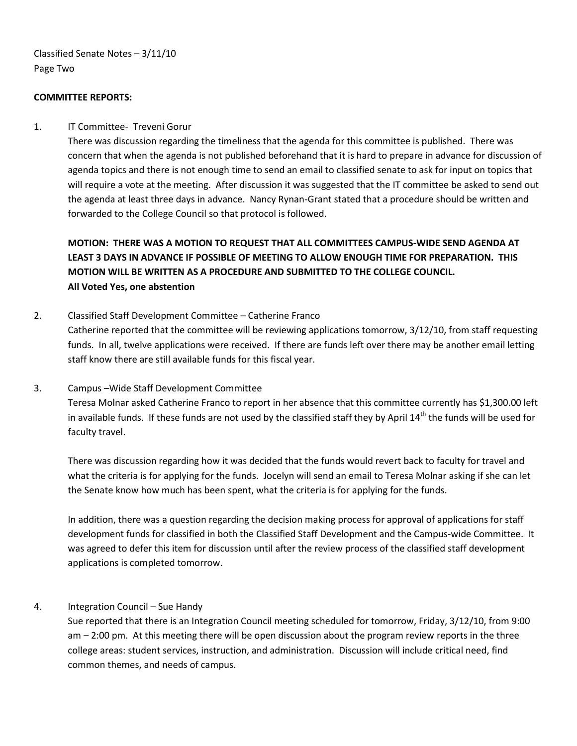Classified Senate Notes – 3/11/10 Page Two

### **COMMITTEE REPORTS:**

### 1. IT Committee- Treveni Gorur

There was discussion regarding the timeliness that the agenda for this committee is published. There was concern that when the agenda is not published beforehand that it is hard to prepare in advance for discussion of agenda topics and there is not enough time to send an email to classified senate to ask for input on topics that will require a vote at the meeting. After discussion it was suggested that the IT committee be asked to send out the agenda at least three days in advance. Nancy Rynan-Grant stated that a procedure should be written and forwarded to the College Council so that protocol is followed.

**MOTION: THERE WAS A MOTION TO REQUEST THAT ALL COMMITTEES CAMPUS-WIDE SEND AGENDA AT LEAST 3 DAYS IN ADVANCE IF POSSIBLE OF MEETING TO ALLOW ENOUGH TIME FOR PREPARATION. THIS MOTION WILL BE WRITTEN AS A PROCEDURE AND SUBMITTED TO THE COLLEGE COUNCIL. All Voted Yes, one abstention**

### 2. Classified Staff Development Committee – Catherine Franco

Catherine reported that the committee will be reviewing applications tomorrow, 3/12/10, from staff requesting funds. In all, twelve applications were received. If there are funds left over there may be another email letting staff know there are still available funds for this fiscal year.

#### 3. Campus –Wide Staff Development Committee

Teresa Molnar asked Catherine Franco to report in her absence that this committee currently has \$1,300.00 left in available funds. If these funds are not used by the classified staff they by April  $14<sup>th</sup>$  the funds will be used for faculty travel.

There was discussion regarding how it was decided that the funds would revert back to faculty for travel and what the criteria is for applying for the funds. Jocelyn will send an email to Teresa Molnar asking if she can let the Senate know how much has been spent, what the criteria is for applying for the funds.

In addition, there was a question regarding the decision making process for approval of applications for staff development funds for classified in both the Classified Staff Development and the Campus-wide Committee. It was agreed to defer this item for discussion until after the review process of the classified staff development applications is completed tomorrow.

### 4. Integration Council – Sue Handy

Sue reported that there is an Integration Council meeting scheduled for tomorrow, Friday, 3/12/10, from 9:00 am – 2:00 pm. At this meeting there will be open discussion about the program review reports in the three college areas: student services, instruction, and administration. Discussion will include critical need, find common themes, and needs of campus.